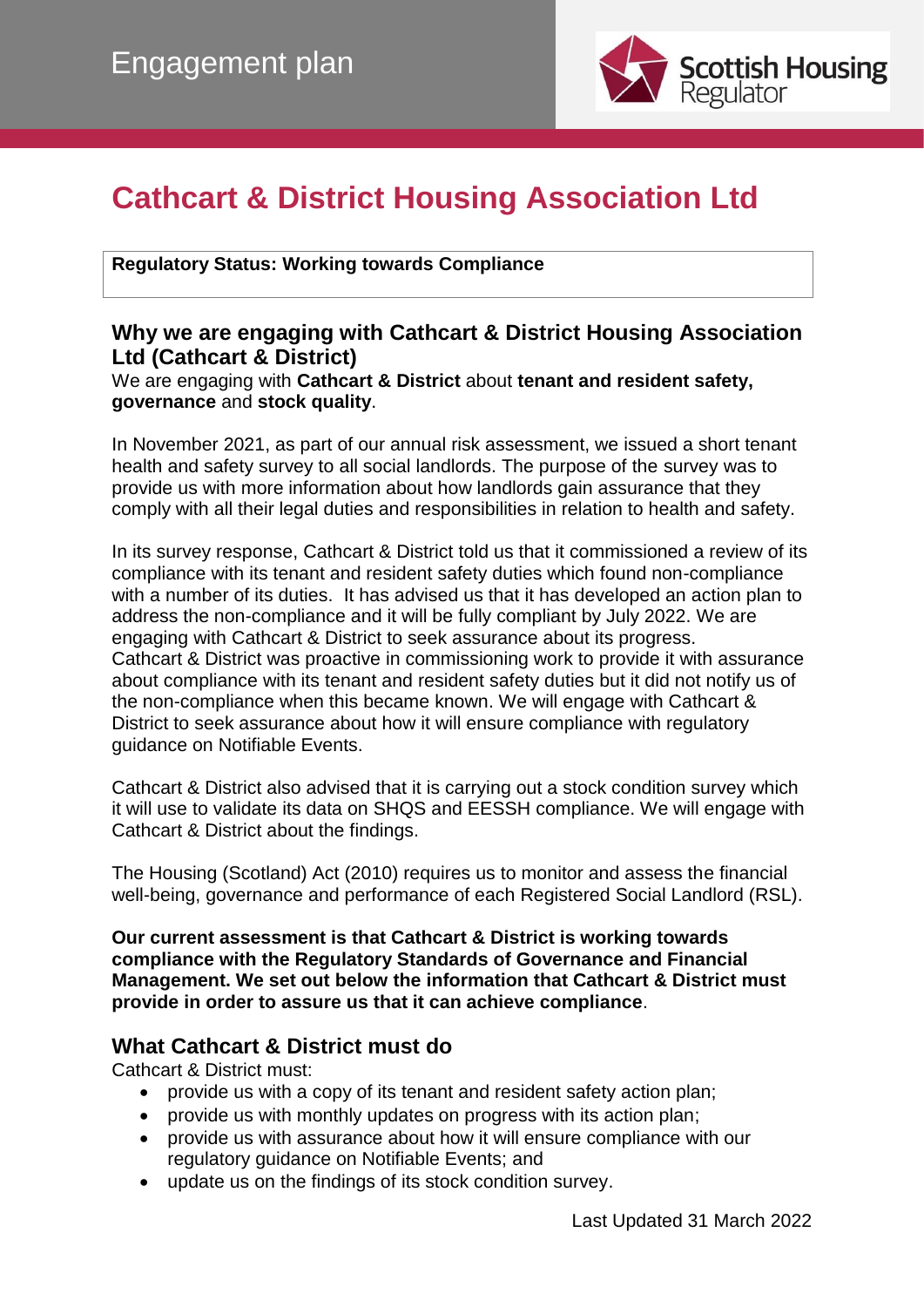

# **Cathcart & District Housing Association Ltd**

**Regulatory Status: Working towards Compliance**

## **Why we are engaging with Cathcart & District Housing Association Ltd (Cathcart & District)**

We are engaging with **Cathcart & District** about **tenant and resident safety, governance** and **stock quality**.

In November 2021, as part of our annual risk assessment, we issued a short tenant health and safety survey to all social landlords. The purpose of the survey was to provide us with more information about how landlords gain assurance that they comply with all their legal duties and responsibilities in relation to health and safety.

In its survey response, Cathcart & District told us that it commissioned a review of its compliance with its tenant and resident safety duties which found non-compliance with a number of its duties. It has advised us that it has developed an action plan to address the non-compliance and it will be fully compliant by July 2022. We are engaging with Cathcart & District to seek assurance about its progress. Cathcart & District was proactive in commissioning work to provide it with assurance about compliance with its tenant and resident safety duties but it did not notify us of the non-compliance when this became known. We will engage with Cathcart & District to seek assurance about how it will ensure compliance with regulatory guidance on Notifiable Events.

Cathcart & District also advised that it is carrying out a stock condition survey which it will use to validate its data on SHQS and EESSH compliance. We will engage with Cathcart & District about the findings.

The Housing (Scotland) Act (2010) requires us to monitor and assess the financial well-being, governance and performance of each Registered Social Landlord (RSL).

**Our current assessment is that Cathcart & District is working towards compliance with the Regulatory Standards of Governance and Financial Management. We set out below the information that Cathcart & District must provide in order to assure us that it can achieve compliance**.

## **What Cathcart & District must do**

Cathcart & District must:

- provide us with a copy of its tenant and resident safety action plan;
- provide us with monthly updates on progress with its action plan;
- provide us with assurance about how it will ensure compliance with our regulatory guidance on Notifiable Events; and
- update us on the findings of its stock condition survey.